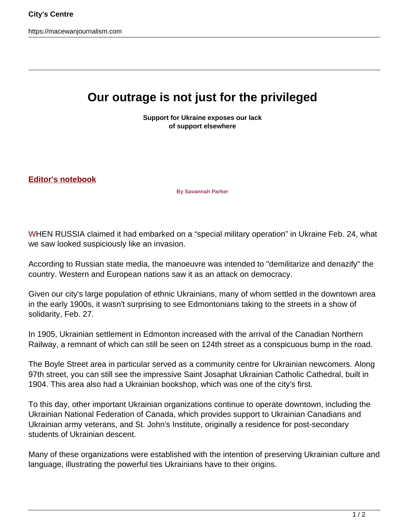https://macewanjournalism.com

## **Our outrage is not just for the privileged**

**Support for Ukraine exposes our lack of support elsewhere**

**Editor's notebook**

**By Savannah Parker**

WHEN RUSSIA claimed it had embarked on a "special military operation" in Ukraine Feb. 24, what we saw looked suspiciously like an invasion.

According to Russian state media, the manoeuvre was intended to "demilitarize and denazify" the country. Western and European nations saw it as an attack on democracy.

Given our city's large population of ethnic Ukrainians, many of whom settled in the downtown area in the early 1900s, it wasn't surprising to see Edmontonians taking to the streets in a show of solidarity, Feb. 27.

In 1905, Ukrainian settlement in Edmonton increased with the arrival of the Canadian Northern Railway, a remnant of which can still be seen on 124th street as a conspicuous bump in the road.

The Boyle Street area in particular served as a community centre for Ukrainian newcomers. Along 97th street, you can still see the impressive Saint Josaphat Ukrainian Catholic Cathedral, built in 1904. This area also had a Ukrainian bookshop, which was one of the city's first.

To this day, other important Ukrainian organizations continue to operate downtown, including the Ukrainian National Federation of Canada, which provides support to Ukrainian Canadians and Ukrainian army veterans, and St. John's Institute, originally a residence for post-secondary students of Ukrainian descent.

Many of these organizations were established with the intention of preserving Ukrainian culture and language, illustrating the powerful ties Ukrainians have to their origins.